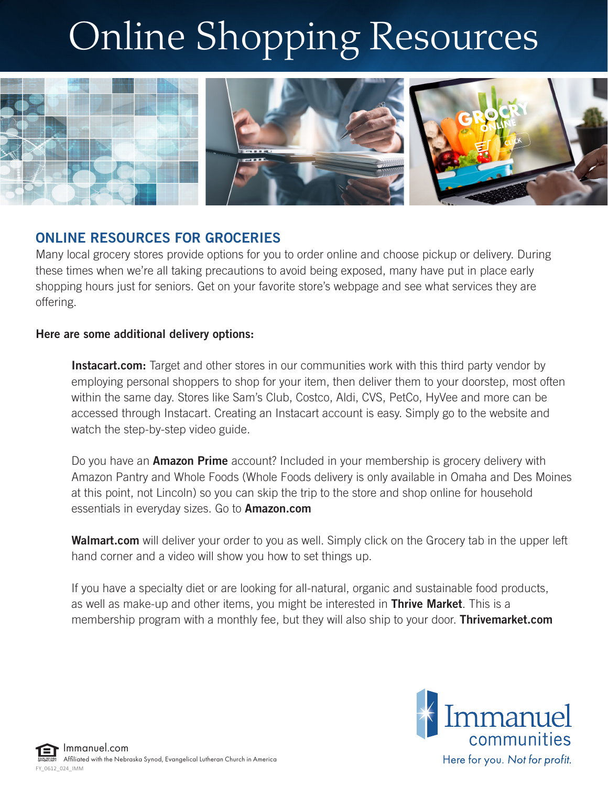# Online Shopping Resources



## ONLINE RESOURCES FOR GROCERIES

Many local grocery stores provide options for you to order online and choose pickup or delivery. During these times when we're all taking precautions to avoid being exposed, many have put in place early shopping hours just for seniors. Get on your favorite store's webpage and see what services they are offering.

#### Here are some additional delivery options:

Instacart.com: Target and other stores in our communities work with this third party vendor by employing personal shoppers to shop for your item, then deliver them to your doorstep, most often within the same day. Stores like Sam's Club, Costco, Aldi, CVS, PetCo, HyVee and more can be accessed through Instacart. Creating an Instacart account is easy. Simply go to the website and watch the step-by-step video guide.

Do you have an **Amazon Prime** account? Included in your membership is grocery delivery with Amazon Pantry and Whole Foods (Whole Foods delivery is only available in Omaha and Des Moines at this point, not Lincoln) so you can skip the trip to the store and shop online for household essentials in everyday sizes. Go to **Amazon.com** 

Walmart.com will deliver your order to you as well. Simply click on the Grocery tab in the upper left hand corner and a video will show you how to set things up.

If you have a specialty diet or are looking for all-natural, organic and sustainable food products, as well as make-up and other items, you might be interested in **Thrive Market**. This is a membership program with a monthly fee, but they will also ship to your door. **Thrivemarket.com**